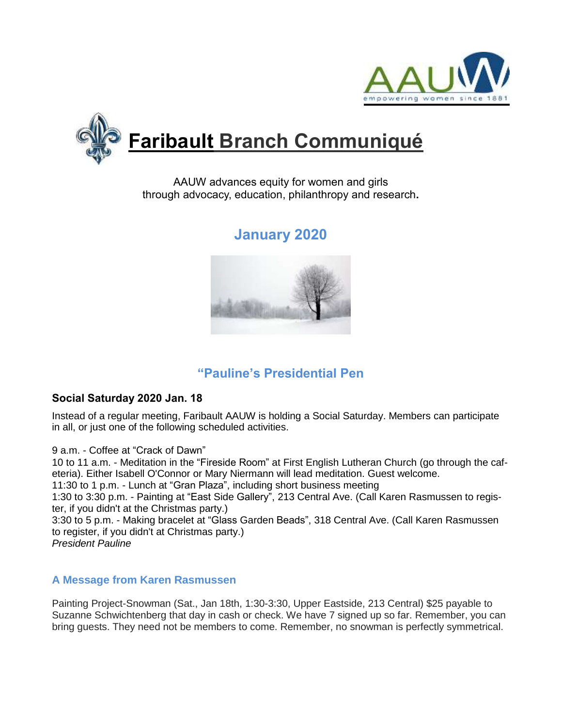



AAUW advances equity for women and girls through advocacy, education, philanthropy and research**.**

# **January 2020**



## **"Pauline's Presidential Pen**

### **Social Saturday 2020 Jan. 18**

Instead of a regular meeting, Faribault AAUW is holding a Social Saturday. Members can participate in all, or just one of the following scheduled activities.

9 a.m. - Coffee at "Crack of Dawn"

10 to 11 a.m. - Meditation in the "Fireside Room" at First English Lutheran Church (go through the cafeteria). Either Isabell O'Connor or Mary Niermann will lead meditation. Guest welcome. 11:30 to 1 p.m. - Lunch at "Gran Plaza", including short business meeting 1:30 to 3:30 p.m. - Painting at "East Side Gallery", 213 Central Ave. (Call Karen Rasmussen to register, if you didn't at the Christmas party.) 3:30 to 5 p.m. - Making bracelet at "Glass Garden Beads", 318 Central Ave. (Call Karen Rasmussen to register, if you didn't at Christmas party.) *President Pauline*

#### **A Message from Karen Rasmussen**

Painting Project-Snowman (Sat., Jan 18th, 1:30-3:30, Upper Eastside, 213 Central) \$25 payable to Suzanne Schwichtenberg that day in cash or check. We have 7 signed up so far. Remember, you can bring guests. They need not be members to come. Remember, no snowman is perfectly symmetrical.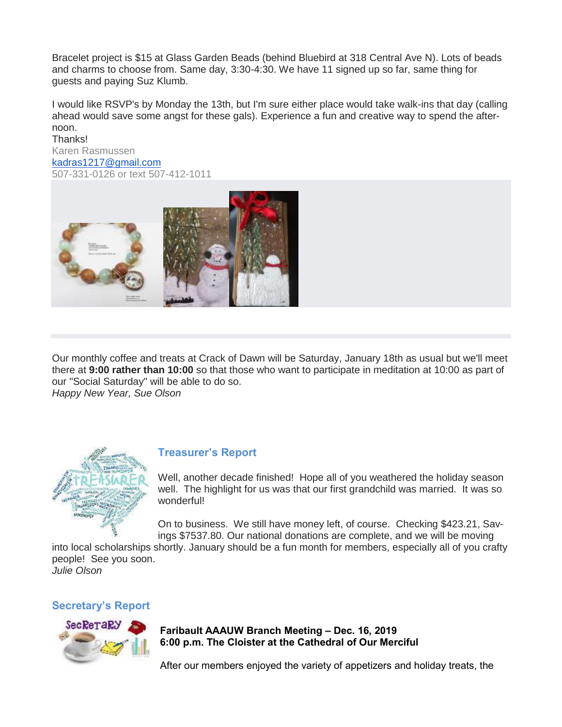Bracelet project is \$15 at Glass Garden Beads (behind Bluebird at 318 Central Ave N). Lots of beads and charms to choose from. Same day, 3:30-4:30. We have 11 signed up so far, same thing for guests and paying Suz Klumb.

I would like RSVP's by Monday the 13th, but I'm sure either place would take walk-ins that day (calling ahead would save some angst for these gals). Experience a fun and creative way to spend the afternoon.

**Thanks!** Karen Rasmussen [kadras1217@gmail.com](mailto:kadras1217@gmail.com) 507-331-0126 or text 507-412-1011



Our monthly coffee and treats at Crack of Dawn will be Saturday, January 18th as usual but we'll meet there at **9:00 rather than 10:00** so that those who want to participate in meditation at 10:00 as part of our "Social Saturday" will be able to do so. *Happy New Year, Sue Olson*



#### **Treasurer's Report**

Well, another decade finished! Hope all of you weathered the holiday season well. The highlight for us was that our first grandchild was married. It was so wonderful!

On to business. We still have money left, of course. Checking \$423.21, Savings \$7537.80. Our national donations are complete, and we will be moving

into local scholarships shortly. January should be a fun month for members, especially all of you crafty people! See you soon. *Julie Olson*

#### **Secretary's Report**



**Faribault AAAUW Branch Meeting – Dec. 16, 2019 6:00 p.m. The Cloister at the Cathedral of Our Merciful**

After our members enjoyed the variety of appetizers and holiday treats, the